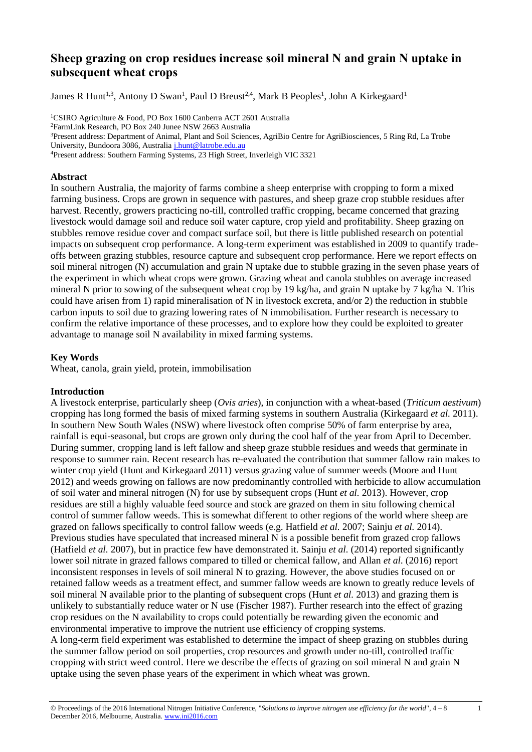# **Sheep grazing on crop residues increase soil mineral N and grain N uptake in subsequent wheat crops**

James R Hunt<sup>1,3</sup>, Antony D Swan<sup>1</sup>, Paul D Breust<sup>2,4</sup>, Mark B Peoples<sup>1</sup>, John A Kirkegaard<sup>1</sup>

<sup>1</sup>CSIRO Agriculture & Food, PO Box 1600 Canberra ACT 2601 Australia

<sup>2</sup>FarmLink Research, PO Box 240 Junee NSW 2663 Australia

<sup>3</sup>Present address: Department of Animal, Plant and Soil Sciences, AgriBio Centre for AgriBiosciences, 5 Ring Rd, La Trobe

University, Bundoora 3086, Australia [j.hunt@latrobe.edu.au](mailto:j.hunt@latrobe.edu.au)

<sup>4</sup>Present address: Southern Farming Systems, 23 High Street, Inverleigh VIC 3321

### **Abstract**

In southern Australia, the majority of farms combine a sheep enterprise with cropping to form a mixed farming business. Crops are grown in sequence with pastures, and sheep graze crop stubble residues after harvest. Recently, growers practicing no-till, controlled traffic cropping, became concerned that grazing livestock would damage soil and reduce soil water capture, crop yield and profitability. Sheep grazing on stubbles remove residue cover and compact surface soil, but there is little published research on potential impacts on subsequent crop performance. A long-term experiment was established in 2009 to quantify tradeoffs between grazing stubbles, resource capture and subsequent crop performance. Here we report effects on soil mineral nitrogen (N) accumulation and grain N uptake due to stubble grazing in the seven phase years of the experiment in which wheat crops were grown. Grazing wheat and canola stubbles on average increased mineral N prior to sowing of the subsequent wheat crop by 19 kg/ha, and grain N uptake by 7 kg/ha N. This could have arisen from 1) rapid mineralisation of N in livestock excreta, and/or 2) the reduction in stubble carbon inputs to soil due to grazing lowering rates of N immobilisation. Further research is necessary to confirm the relative importance of these processes, and to explore how they could be exploited to greater advantage to manage soil N availability in mixed farming systems.

## **Key Words**

Wheat, canola, grain yield, protein, immobilisation

#### **Introduction**

A livestock enterprise, particularly sheep (*Ovis aries*), in conjunction with a wheat-based (*Triticum aestivum*) cropping has long formed the basis of mixed farming systems in southern Australia (Kirkegaard *et al.* 2011). In southern New South Wales (NSW) where livestock often comprise 50% of farm enterprise by area, rainfall is equi-seasonal, but crops are grown only during the cool half of the year from April to December. During summer, cropping land is left fallow and sheep graze stubble residues and weeds that germinate in response to summer rain. Recent research has re-evaluated the contribution that summer fallow rain makes to winter crop yield (Hunt and Kirkegaard 2011) versus grazing value of summer weeds (Moore and Hunt 2012) and weeds growing on fallows are now predominantly controlled with herbicide to allow accumulation of soil water and mineral nitrogen (N) for use by subsequent crops (Hunt *et al.* 2013). However, crop residues are still a highly valuable feed source and stock are grazed on them in situ following chemical control of summer fallow weeds. This is somewhat different to other regions of the world where sheep are grazed on fallows specifically to control fallow weeds (e.g. Hatfield *et al.* 2007; Sainju *et al.* 2014). Previous studies have speculated that increased mineral N is a possible benefit from grazed crop fallows (Hatfield *et al.* 2007), but in practice few have demonstrated it. Sainju *et al.* (2014) reported significantly lower soil nitrate in grazed fallows compared to tilled or chemical fallow, and Allan *et al.* (2016) report inconsistent responses in levels of soil mineral N to grazing. However, the above studies focused on or retained fallow weeds as a treatment effect, and summer fallow weeds are known to greatly reduce levels of soil mineral N available prior to the planting of subsequent crops (Hunt *et al.* 2013) and grazing them is unlikely to substantially reduce water or N use (Fischer 1987). Further research into the effect of grazing crop residues on the N availability to crops could potentially be rewarding given the economic and environmental imperative to improve the nutrient use efficiency of cropping systems.

A long-term field experiment was established to determine the impact of sheep grazing on stubbles during the summer fallow period on soil properties, crop resources and growth under no-till, controlled traffic cropping with strict weed control. Here we describe the effects of grazing on soil mineral N and grain N uptake using the seven phase years of the experiment in which wheat was grown.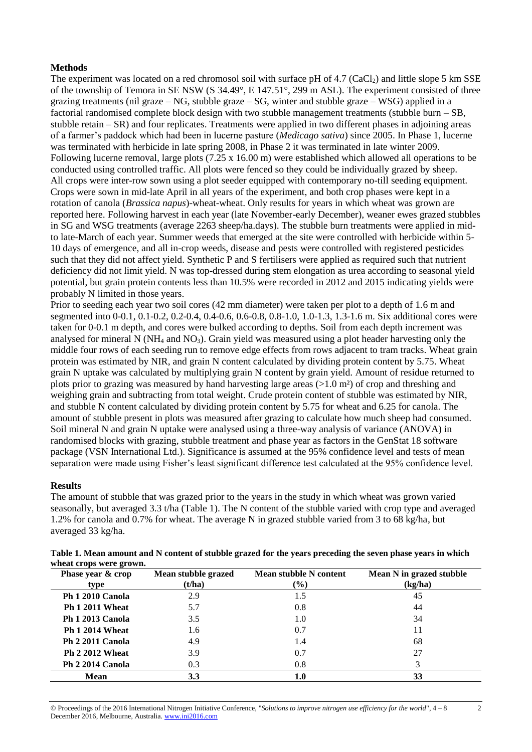## **Methods**

The experiment was located on a red chromosol soil with surface pH of 4.7 (CaCl<sub>2</sub>) and little slope 5 km SSE of the township of Temora in SE NSW (S 34.49°, E 147.51°, 299 m ASL). The experiment consisted of three grazing treatments (nil graze –  $NG$ , stubble graze –  $SG$ , winter and stubble graze –  $WSG$ ) applied in a factorial randomised complete block design with two stubble management treatments (stubble burn – SB, stubble retain – SR) and four replicates. Treatments were applied in two different phases in adjoining areas of a farmer's paddock which had been in lucerne pasture (*Medicago sativa*) since 2005. In Phase 1, lucerne was terminated with herbicide in late spring 2008, in Phase 2 it was terminated in late winter 2009. Following lucerne removal, large plots (7.25 x 16.00 m) were established which allowed all operations to be conducted using controlled traffic. All plots were fenced so they could be individually grazed by sheep. All crops were inter-row sown using a plot seeder equipped with contemporary no-till seeding equipment. Crops were sown in mid-late April in all years of the experiment, and both crop phases were kept in a rotation of canola (*Brassica napus*)-wheat-wheat. Only results for years in which wheat was grown are reported here. Following harvest in each year (late November-early December), weaner ewes grazed stubbles in SG and WSG treatments (average 2263 sheep/ha.days). The stubble burn treatments were applied in midto late-March of each year. Summer weeds that emerged at the site were controlled with herbicide within 5- 10 days of emergence, and all in-crop weeds, disease and pests were controlled with registered pesticides such that they did not affect yield. Synthetic P and S fertilisers were applied as required such that nutrient deficiency did not limit yield. N was top-dressed during stem elongation as urea according to seasonal yield potential, but grain protein contents less than 10.5% were recorded in 2012 and 2015 indicating yields were probably N limited in those years.

Prior to seeding each year two soil cores (42 mm diameter) were taken per plot to a depth of 1.6 m and segmented into 0-0.1, 0.1-0.2, 0.2-0.4, 0.4-0.6, 0.6-0.8, 0.8-1.0, 1.0-1.3, 1.3-1.6 m. Six additional cores were taken for 0-0.1 m depth, and cores were bulked according to depths. Soil from each depth increment was analysed for mineral N (NH<sup>4</sup> and NO3). Grain yield was measured using a plot header harvesting only the middle four rows of each seeding run to remove edge effects from rows adjacent to tram tracks. Wheat grain protein was estimated by NIR, and grain N content calculated by dividing protein content by 5.75. Wheat grain N uptake was calculated by multiplying grain N content by grain yield. Amount of residue returned to plots prior to grazing was measured by hand harvesting large areas (>1.0 m²) of crop and threshing and weighing grain and subtracting from total weight. Crude protein content of stubble was estimated by NIR, and stubble N content calculated by dividing protein content by 5.75 for wheat and 6.25 for canola. The amount of stubble present in plots was measured after grazing to calculate how much sheep had consumed. Soil mineral N and grain N uptake were analysed using a three-way analysis of variance (ANOVA) in randomised blocks with grazing, stubble treatment and phase year as factors in the GenStat 18 software package (VSN International Ltd.). Significance is assumed at the 95% confidence level and tests of mean separation were made using Fisher's least significant difference test calculated at the 95% confidence level.

#### **Results**

The amount of stubble that was grazed prior to the years in the study in which wheat was grown varied seasonally, but averaged 3.3 t/ha (Table 1). The N content of the stubble varied with crop type and averaged 1.2% for canola and 0.7% for wheat. The average N in grazed stubble varied from 3 to 68 kg/ha, but averaged 33 kg/ha.

| Phase year & crop<br>type | Mean stubble grazed<br>(t/ha) | <b>Mean stubble N content</b><br>$(\%)$ | Mean N in grazed stubble<br>(kg/ha) |
|---------------------------|-------------------------------|-----------------------------------------|-------------------------------------|
| Ph 1 2010 Canola          | 2.9                           | 1.5                                     | 45                                  |
| <b>Ph 1 2011 Wheat</b>    | 5.7                           | 0.8                                     | 44                                  |
| <b>Ph 1 2013 Canola</b>   | 3.5                           | 1.0                                     | 34                                  |
| <b>Ph 1 2014 Wheat</b>    | 1.6                           | 0.7                                     | 11                                  |
| Ph 2 2011 Canola          | 4.9                           | 1.4                                     | 68                                  |
| <b>Ph 2 2012 Wheat</b>    | 3.9                           | 0.7                                     | 27                                  |
| Ph 2 2014 Canola          | 0.3                           | 0.8                                     |                                     |
| Mean                      | 3.3                           | 1.0                                     | 33                                  |

| Table 1. Mean amount and N content of stubble grazed for the years preceding the seven phase years in which |  |
|-------------------------------------------------------------------------------------------------------------|--|
| wheat crops were grown.                                                                                     |  |

© Proceedings of the 2016 International Nitrogen Initiative Conference, "*Solutions to improve nitrogen use efficiency for the world*", 4 – 8 December 2016, Melbourne, Australia[. www.ini2016.com](http://www.ini2016.com/)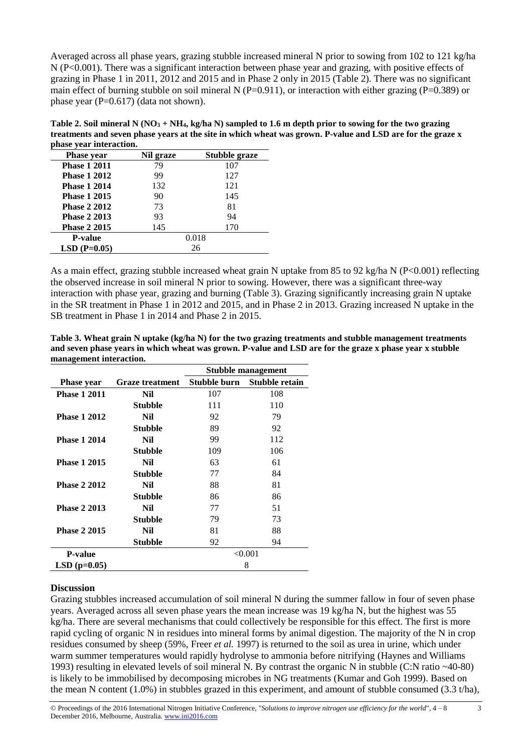Averaged across all phase years, grazing stubble increased mineral N prior to sowing from 102 to 121 kg/ha N (P<0.001). There was a significant interaction between phase year and grazing, with positive effects of grazing in Phase 1 in 2011, 2012 and 2015 and in Phase 2 only in 2015 (Table 2). There was no significant main effect of burning stubble on soil mineral N ( $P=0.911$ ), or interaction with either grazing ( $P=0.389$ ) or phase year (P=0.617) (data not shown).

**Table 2. Soil mineral N (NO<sup>3</sup> + NH4, kg/ha N) sampled to 1.6 m depth prior to sowing for the two grazing treatments and seven phase years at the site in which wheat was grown. P-value and LSD are for the graze x phase year interaction.**

| <b>Phase year</b>   | Nil graze | Stubble graze |  |
|---------------------|-----------|---------------|--|
| <b>Phase 1 2011</b> | 79        | 107           |  |
| <b>Phase 1 2012</b> | 99        | 127           |  |
| <b>Phase 1 2014</b> | 132       | 121           |  |
| <b>Phase 1 2015</b> | 90        | 145           |  |
| <b>Phase 2 2012</b> | 73        | 81            |  |
| <b>Phase 2 2013</b> | 93        | 94            |  |
| <b>Phase 2 2015</b> | 145       | 170           |  |
| <b>P-value</b>      | 0.018     |               |  |
| $LSD$ (P=0.05)      | 26        |               |  |

As a main effect, grazing stubble increased wheat grain N uptake from 85 to 92 kg/ha N (P<0.001) reflecting the observed increase in soil mineral N prior to sowing. However, there was a significant three-way interaction with phase year, grazing and burning (Table 3). Grazing significantly increasing grain N uptake in the SR treatment in Phase 1 in 2012 and 2015, and in Phase 2 in 2013. Grazing increased N uptake in the SB treatment in Phase 1 in 2014 and Phase 2 in 2015.

**Table 3. Wheat grain N uptake (kg/ha N) for the two grazing treatments and stubble management treatments and seven phase years in which wheat was grown. P-value and LSD are for the graze x phase year x stubble management interaction.**

|                     |                        | Stubble management |                |
|---------------------|------------------------|--------------------|----------------|
| <b>Phase year</b>   | <b>Graze treatment</b> | Stubble burn       | Stubble retain |
| <b>Phase 1 2011</b> | Nil                    | 107                | 108            |
|                     | <b>Stubble</b>         | 111                | 110            |
| <b>Phase 1 2012</b> | Nil                    | 92                 | 79             |
|                     | <b>Stubble</b>         | 89                 | 92             |
| <b>Phase 1 2014</b> | Nil                    | 99                 | 112            |
|                     | <b>Stubble</b>         | 109                | 106            |
| <b>Phase 1 2015</b> | Nil                    | 63                 | 61             |
|                     | <b>Stubble</b>         | 77                 | 84             |
| <b>Phase 2 2012</b> | Nil                    | 88                 | 81             |
|                     | <b>Stubble</b>         | 86                 | 86             |
| <b>Phase 2 2013</b> | Nil                    | 77                 | 51             |
|                     | Stubble                | 79                 | 73             |
| <b>Phase 2 2015</b> | Nil                    | 81                 | 88             |
|                     | <b>Stubble</b>         | 92                 | 94             |
| <b>P-value</b>      |                        | < 0.001            |                |
| $LSD$ (p=0.05)      |                        | 8                  |                |

#### **Discussion**

Grazing stubbles increased accumulation of soil mineral N during the summer fallow in four of seven phase years. Averaged across all seven phase years the mean increase was 19 kg/ha N, but the highest was 55 kg/ha. There are several mechanisms that could collectively be responsible for this effect. The first is more rapid cycling of organic N in residues into mineral forms by animal digestion. The majority of the N in crop residues consumed by sheep (59%, Freer *et al.* 1997) is returned to the soil as urea in urine, which under warm summer temperatures would rapidly hydrolyse to ammonia before nitrifying (Haynes and Williams 1993) resulting in elevated levels of soil mineral N. By contrast the organic N in stubble (C:N ratio ~40-80) is likely to be immobilised by decomposing microbes in NG treatments (Kumar and Goh 1999). Based on the mean N content (1.0%) in stubbles grazed in this experiment, and amount of stubble consumed (3.3 t/ha),